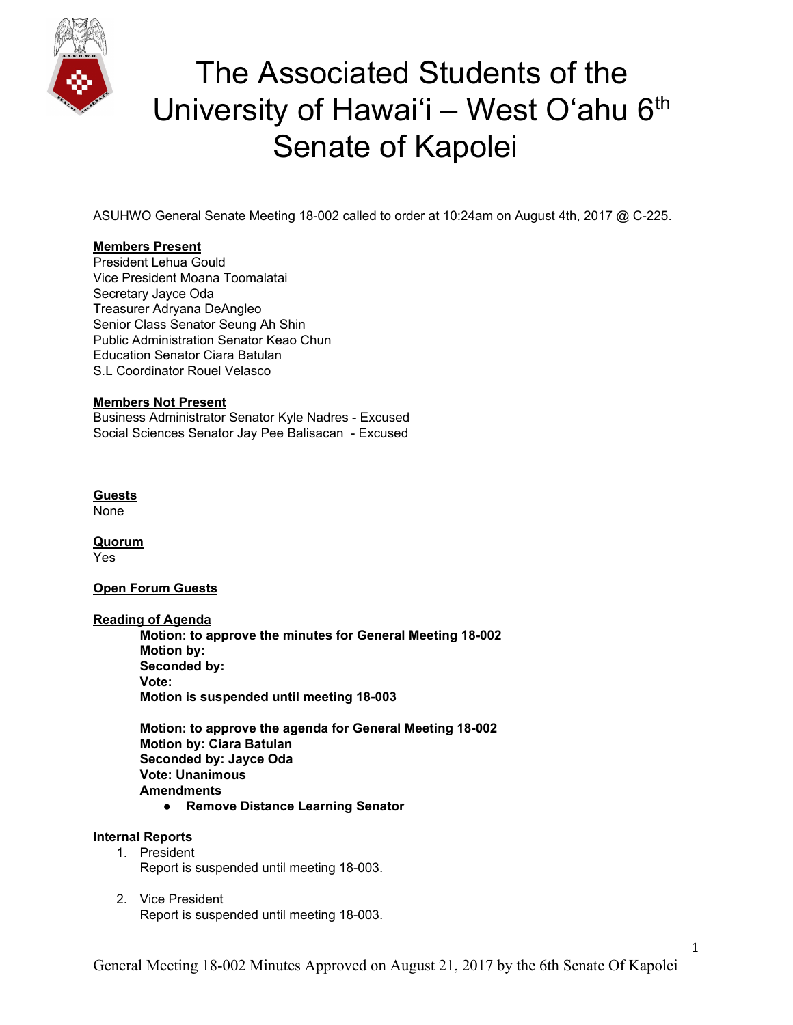

ASUHWO General Senate Meeting 18-002 called to order at 10:24am on August 4th, 2017 @ C-225.

### **Members Present**

President Lehua Gould Vice President Moana Toomalatai Secretary Jayce Oda Treasurer Adryana DeAngleo Senior Class Senator Seung Ah Shin Public Administration Senator Keao Chun Education Senator Ciara Batulan S.L Coordinator Rouel Velasco

### **Members Not Present**

Business Administrator Senator Kyle Nadres - Excused Social Sciences Senator Jay Pee Balisacan - Excused

**Guests** None

**Quorum** Yes

### **Open Forum Guests**

#### **Reading of Agenda**

**Motion: to approve the minutes for General Meeting 18-002 Motion by: Seconded by: Vote: Motion is suspended until meeting 18-003**

**Motion: to approve the agenda for General Meeting 18-002 Motion by: Ciara Batulan Seconded by: Jayce Oda Vote: Unanimous Amendments**

**● Remove Distance Learning Senator**

### **Internal Reports**

- 1. President Report is suspended until meeting 18-003.
- 2. Vice President Report is suspended until meeting 18-003.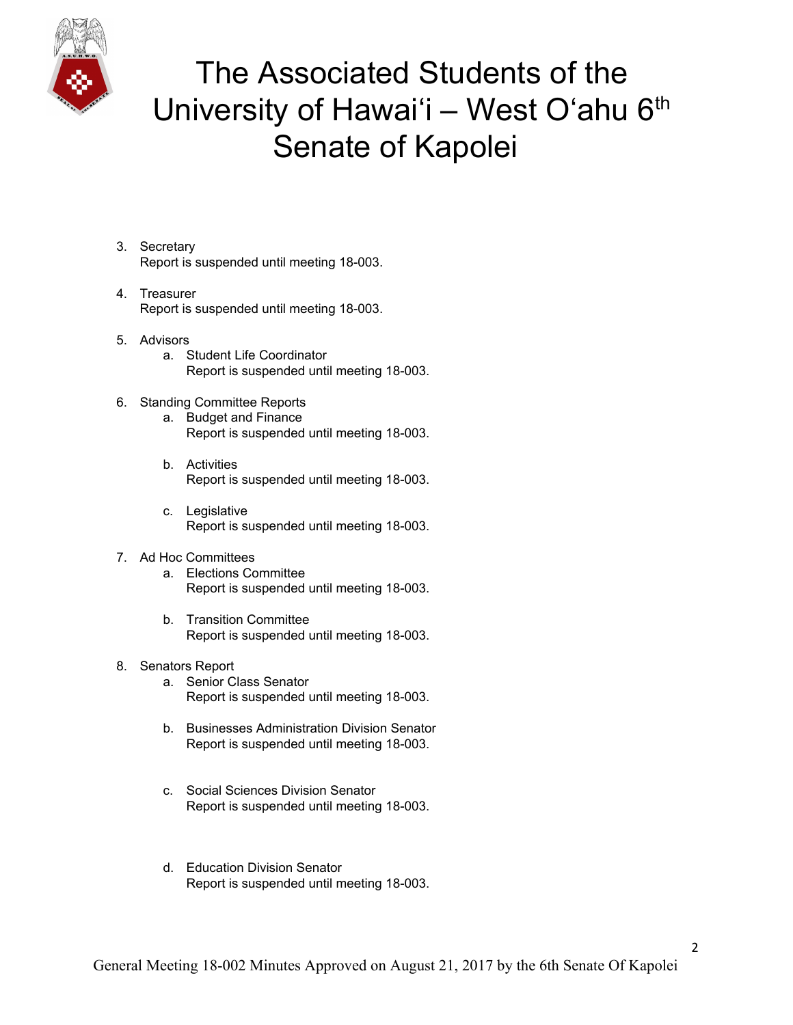

- 3. Secretary Report is suspended until meeting 18-003.
- 4. Treasurer Report is suspended until meeting 18-003.
- 5. Advisors
	- a. Student Life Coordinator Report is suspended until meeting 18-003.
- 6. Standing Committee Reports
	- a. Budget and Finance Report is suspended until meeting 18-003.
	- b. Activities Report is suspended until meeting 18-003.
	- c. Legislative Report is suspended until meeting 18-003.
- 7. Ad Hoc Committees
	- a. Elections Committee Report is suspended until meeting 18-003.
	- b. Transition Committee Report is suspended until meeting 18-003.
- 8. Senators Report
	- a. Senior Class Senator Report is suspended until meeting 18-003.
	- b. Businesses Administration Division Senator Report is suspended until meeting 18-003.
	- c. Social Sciences Division Senator Report is suspended until meeting 18-003.
	- d. Education Division Senator Report is suspended until meeting 18-003.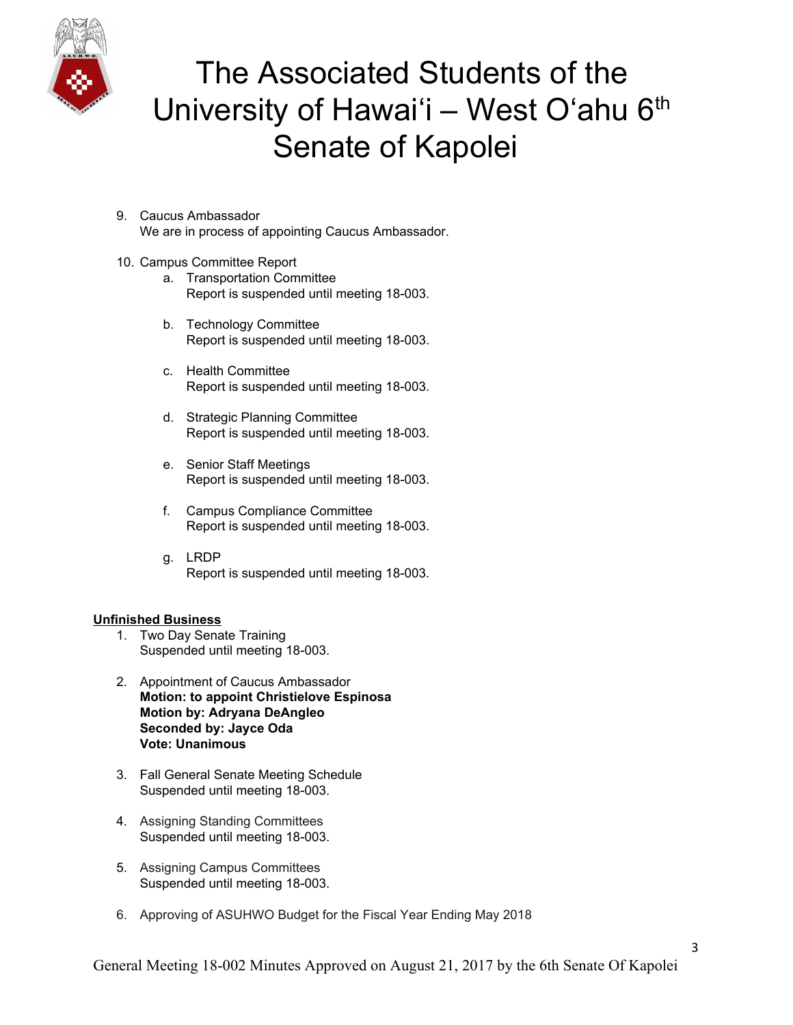

- 9. Caucus Ambassador We are in process of appointing Caucus Ambassador.
- 10. Campus Committee Report
	- a. Transportation Committee Report is suspended until meeting 18-003.
	- b. Technology Committee Report is suspended until meeting 18-003.
	- c. Health Committee Report is suspended until meeting 18-003.
	- d. Strategic Planning Committee Report is suspended until meeting 18-003.
	- e. Senior Staff Meetings Report is suspended until meeting 18-003.
	- f. Campus Compliance Committee Report is suspended until meeting 18-003.
	- g. LRDP Report is suspended until meeting 18-003.

### **Unfinished Business**

- 1. Two Day Senate Training Suspended until meeting 18-003.
- 2. Appointment of Caucus Ambassador **Motion: to appoint Christielove Espinosa Motion by: Adryana DeAngleo Seconded by: Jayce Oda Vote: Unanimous**
- 3. Fall General Senate Meeting Schedule Suspended until meeting 18-003.
- 4. Assigning Standing Committees Suspended until meeting 18-003.
- 5. Assigning Campus Committees Suspended until meeting 18-003.
- 6. Approving of ASUHWO Budget for the Fiscal Year Ending May 2018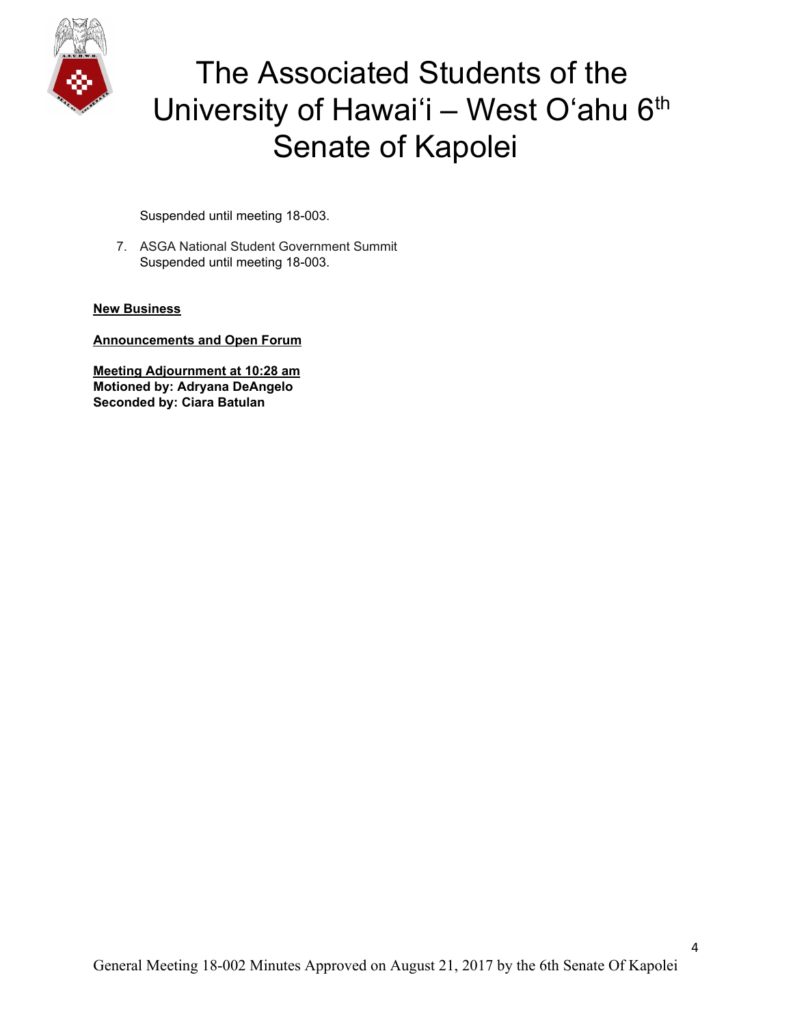

Suspended until meeting 18-003.

7. ASGA National Student Government Summit Suspended until meeting 18-003.

### **New Business**

**Announcements and Open Forum**

**Meeting Adjournment at 10:28 am Motioned by: Adryana DeAngelo Seconded by: Ciara Batulan**